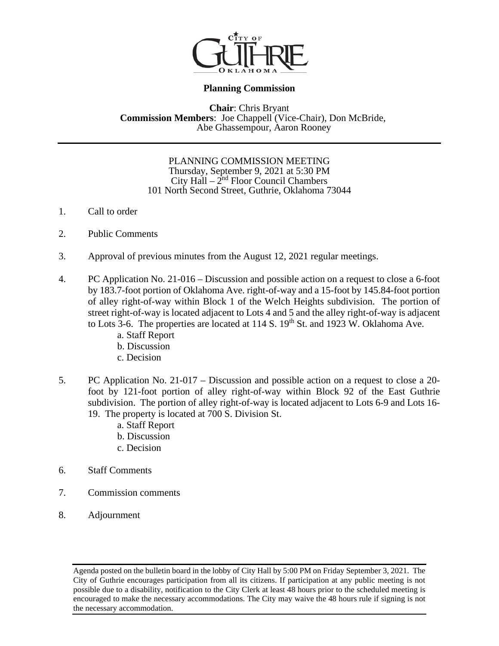

# **Planning Commission**

**Chair**: Chris Bryant **Commission Members**: Joe Chappell (Vice-Chair), Don McBride, Abe Ghassempour, Aaron Rooney

#### PLANNING COMMISSION MEETING Thursday, September 9, 2021 at 5:30 PM City  $\text{Hall} - 2^{\text{nd}}$  Floor Council Chambers 101 North Second Street, Guthrie, Oklahoma 73044

- 1. Call to order
- 2. Public Comments
- 3. Approval of previous minutes from the August 12, 2021 regular meetings.
- 4. PC Application No. 21-016 Discussion and possible action on a request to close a 6-foot by 183.7-foot portion of Oklahoma Ave. right-of-way and a 15-foot by 145.84-foot portion of alley right-of-way within Block 1 of the Welch Heights subdivision. The portion of street right-of-way is located adjacent to Lots 4 and 5 and the alley right-of-way is adjacent to Lots 3-6. The properties are located at  $114$  S.  $19<sup>th</sup>$  St. and  $1923$  W. Oklahoma Ave.
	- a. Staff Report
	- b. Discussion
	- c. Decision
- 5. PC Application No. 21-017 Discussion and possible action on a request to close a 20 foot by 121-foot portion of alley right-of-way within Block 92 of the East Guthrie subdivision. The portion of alley right-of-way is located adjacent to Lots 6-9 and Lots 16- 19. The property is located at 700 S. Division St.
	- a. Staff Report
	- b. Discussion
	- c. Decision
- 6. Staff Comments
- 7. Commission comments
- 8. Adjournment

Agenda posted on the bulletin board in the lobby of City Hall by 5:00 PM on Friday September 3, 2021. The City of Guthrie encourages participation from all its citizens. If participation at any public meeting is not possible due to a disability, notification to the City Clerk at least 48 hours prior to the scheduled meeting is encouraged to make the necessary accommodations. The City may waive the 48 hours rule if signing is not the necessary accommodation.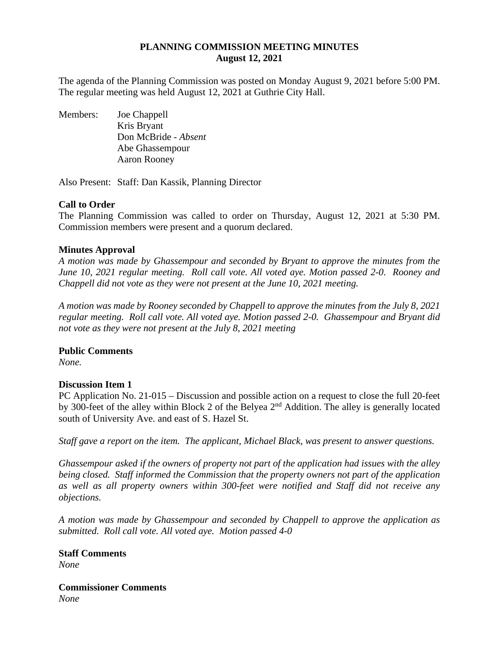## **PLANNING COMMISSION MEETING MINUTES August 12, 2021**

The agenda of the Planning Commission was posted on Monday August 9, 2021 before 5:00 PM. The regular meeting was held August 12, 2021 at Guthrie City Hall.

Members: Joe Chappell Kris Bryant Don McBride *- Absent* Abe Ghassempour Aaron Rooney

Also Present: Staff: Dan Kassik, Planning Director

## **Call to Order**

The Planning Commission was called to order on Thursday, August 12, 2021 at 5:30 PM. Commission members were present and a quorum declared.

## **Minutes Approval**

*A motion was made by Ghassempour and seconded by Bryant to approve the minutes from the June 10, 2021 regular meeting. Roll call vote. All voted aye. Motion passed 2-0. Rooney and Chappell did not vote as they were not present at the June 10, 2021 meeting.* 

*A motion was made by Rooney seconded by Chappell to approve the minutes from the July 8, 2021 regular meeting. Roll call vote. All voted aye. Motion passed 2-0. Ghassempour and Bryant did not vote as they were not present at the July 8, 2021 meeting* 

#### **Public Comments**

*None.* 

#### **Discussion Item 1**

PC Application No. 21-015 – Discussion and possible action on a request to close the full 20-feet by 300-feet of the alley within Block 2 of the Belyea 2nd Addition. The alley is generally located south of University Ave. and east of S. Hazel St.

*Staff gave a report on the item. The applicant, Michael Black, was present to answer questions.* 

*Ghassempour asked if the owners of property not part of the application had issues with the alley being closed. Staff informed the Commission that the property owners not part of the application as well as all property owners within 300-feet were notified and Staff did not receive any objections.* 

*A motion was made by Ghassempour and seconded by Chappell to approve the application as submitted. Roll call vote. All voted aye. Motion passed 4-0* 

**Staff Comments** *None* 

**Commissioner Comments** *None*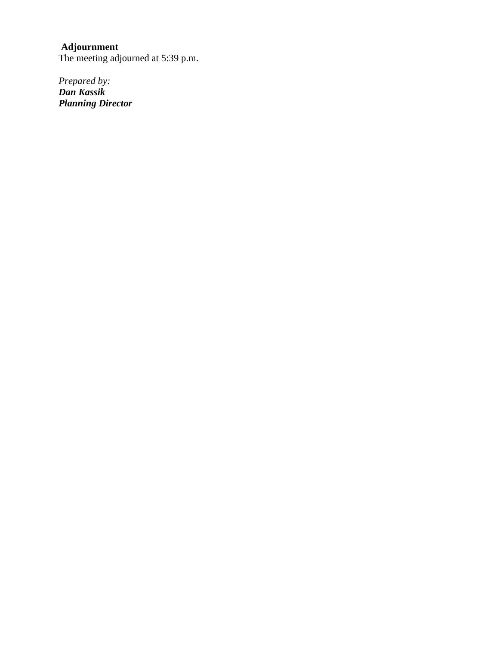## **Adjournment**

The meeting adjourned at 5:39 p.m.

*Prepared by: Dan Kassik Planning Director*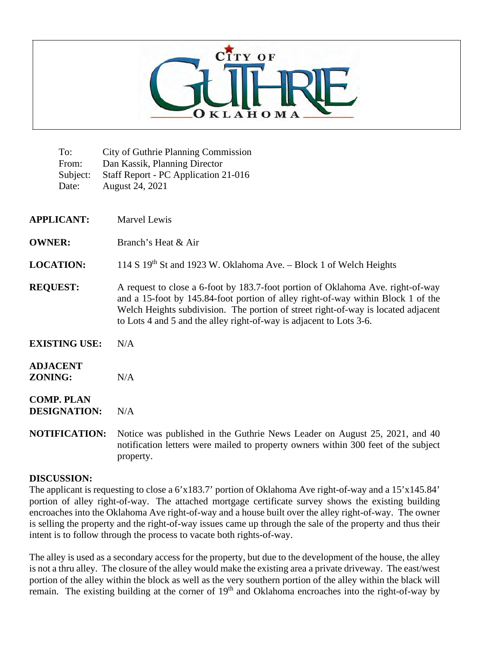

| To:<br>From:<br>Subject:<br>Date:        | <b>City of Guthrie Planning Commission</b><br>Dan Kassik, Planning Director<br>Staff Report - PC Application 21-016<br>August 24, 2021                                                                                                                                                                                          |  |
|------------------------------------------|---------------------------------------------------------------------------------------------------------------------------------------------------------------------------------------------------------------------------------------------------------------------------------------------------------------------------------|--|
| <b>APPLICANT:</b>                        | <b>Marvel Lewis</b>                                                                                                                                                                                                                                                                                                             |  |
| <b>OWNER:</b>                            | Branch's Heat & Air                                                                                                                                                                                                                                                                                                             |  |
| <b>LOCATION:</b>                         | 114 S 19th St and 1923 W. Oklahoma Ave. - Block 1 of Welch Heights                                                                                                                                                                                                                                                              |  |
| <b>REQUEST:</b>                          | A request to close a 6-foot by 183.7-foot portion of Oklahoma Ave. right-of-way<br>and a 15-foot by 145.84-foot portion of alley right-of-way within Block 1 of the<br>Welch Heights subdivision. The portion of street right-of-way is located adjacent<br>to Lots 4 and 5 and the alley right-of-way is adjacent to Lots 3-6. |  |
| <b>EXISTING USE:</b>                     | N/A                                                                                                                                                                                                                                                                                                                             |  |
| <b>ADJACENT</b><br>ZONING:               | N/A                                                                                                                                                                                                                                                                                                                             |  |
| <b>COMP. PLAN</b><br><b>DESIGNATION:</b> | N/A                                                                                                                                                                                                                                                                                                                             |  |
| <b>NOTIFICATION:</b>                     | Notice was published in the Guthrie News Leader on August 25, 2021, and 40<br>notification letters were mailed to property owners within 300 feet of the subject                                                                                                                                                                |  |

#### **DISCUSSION:**

property.

The applicant is requesting to close a 6'x183.7' portion of Oklahoma Ave right-of-way and a 15'x145.84' portion of alley right-of-way. The attached mortgage certificate survey shows the existing building encroaches into the Oklahoma Ave right-of-way and a house built over the alley right-of-way. The owner is selling the property and the right-of-way issues came up through the sale of the property and thus their intent is to follow through the process to vacate both rights-of-way.

The alley is used as a secondary access for the property, but due to the development of the house, the alley is not a thru alley. The closure of the alley would make the existing area a private driveway. The east/west portion of the alley within the block as well as the very southern portion of the alley within the black will remain. The existing building at the corner of 19<sup>th</sup> and Oklahoma encroaches into the right-of-way by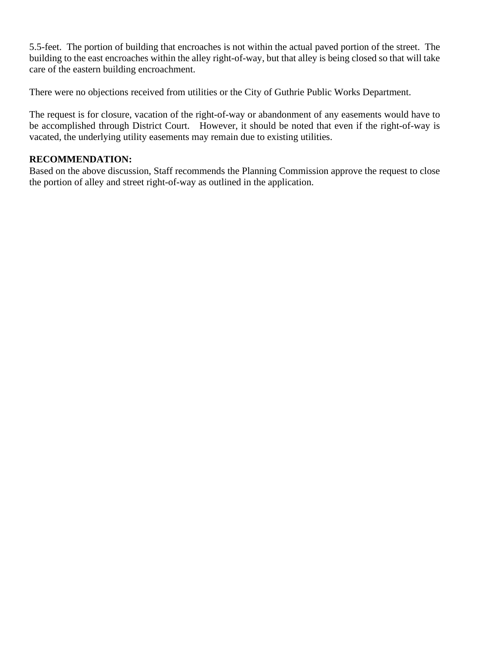5.5-feet. The portion of building that encroaches is not within the actual paved portion of the street. The building to the east encroaches within the alley right-of-way, but that alley is being closed so that will take care of the eastern building encroachment.

There were no objections received from utilities or the City of Guthrie Public Works Department.

The request is for closure, vacation of the right-of-way or abandonment of any easements would have to be accomplished through District Court. However, it should be noted that even if the right-of-way is vacated, the underlying utility easements may remain due to existing utilities.

# **RECOMMENDATION:**

Based on the above discussion, Staff recommends the Planning Commission approve the request to close the portion of alley and street right-of-way as outlined in the application.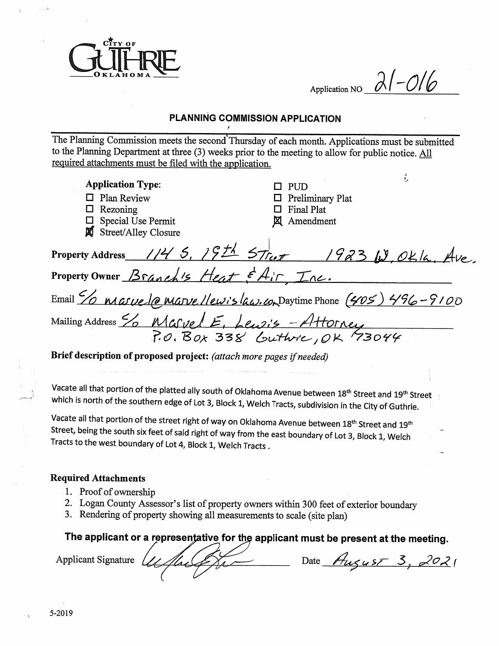

 $21 - 016$ Application NO

# PLANNING COMMISSION APPLICATION

The Planning Commission meets the second Thursday of each month. Applications must be submitted to the Planning Department at three (3) weeks prior to the meeting to allow for public notice. All required attachments must be filed with the application.

| <b>Application Type:</b>                                                       | в.<br><b>PUD</b>                                                         |  |  |  |
|--------------------------------------------------------------------------------|--------------------------------------------------------------------------|--|--|--|
| $\Box$ Plan Review                                                             | <b>Preliminary Plat</b>                                                  |  |  |  |
| Rezoning                                                                       | Final Plat                                                               |  |  |  |
| Special Use Permit                                                             | Amendment                                                                |  |  |  |
| <b>Street/Alley Closure</b>                                                    |                                                                          |  |  |  |
|                                                                                | Property Address 114 5, 19th Street 1923 W, OKla, Ave                    |  |  |  |
| Property Owner Branch's Heat & Air Inc.                                        |                                                                          |  |  |  |
|                                                                                | Email <u>% nasue (a marve //ewislaw.com</u> Daytime Phone (405) 496-9100 |  |  |  |
| Mailing Address % Marvel E, Lewis - Attorney<br>P.O. Box 338 Guttore, OK 73044 |                                                                          |  |  |  |
|                                                                                |                                                                          |  |  |  |
| Brief description of proposed project: (attach more pages if needed)           |                                                                          |  |  |  |
|                                                                                |                                                                          |  |  |  |

Vacate all that portion of the platted ally south of Oklahoma Avenue between 18<sup>th</sup> Street and 19<sup>th</sup> Street which is north of the southern edge of Lot 3, Block 1, Welch Tracts, subdivision in the City of Guthrie.

Vacate all that portion of the street right of way on Oklahoma Avenue between 18<sup>th</sup> Street and 19<sup>th</sup> Street, being the south six feet of said right of way from the east boundary of Lot 3, Block 1, Welch Tracts to the west boundary of Lot 4, Block 1, Welch Tracts.

#### **Required Attachments**

- 1. Proof of ownership
- 2. Logan County Assessor's list of property owners within 300 feet of exterior boundary
- 3. Rendering of property showing all measurements to scale (site plan)

The applicant or a representative for the applicant must be present at the meeting.

**Applicant Signature** 

Date  $A_{u\zeta u5}$   $3,2021$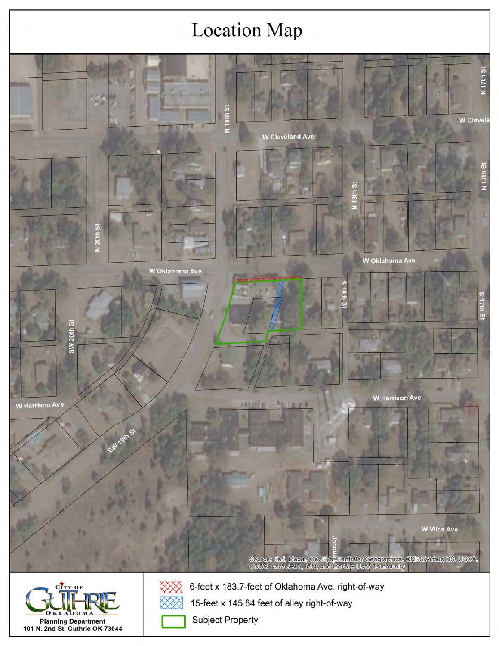# **Location Map**

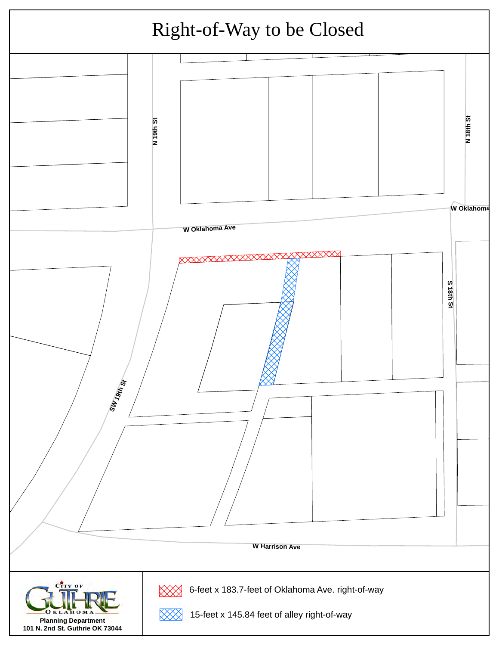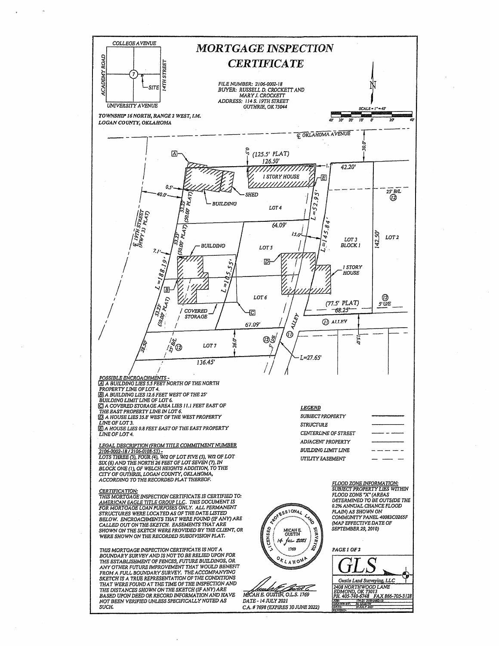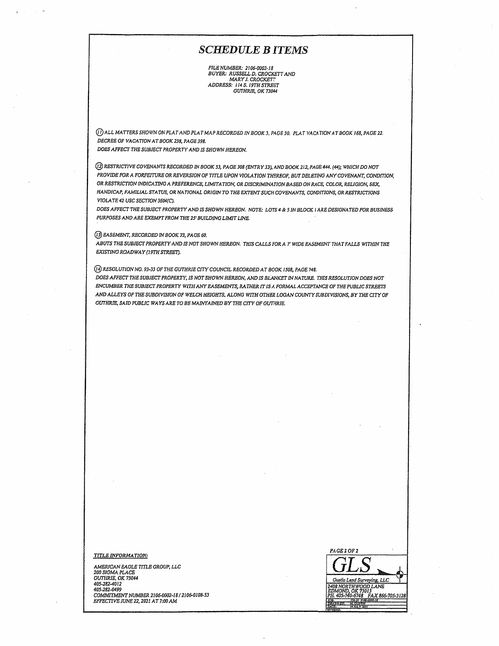#### **SCHEDULE BITEMS**

FILE NUMBER: 2106-0002-18<br>BUYER: RUSSELL D. CROCKETT AND<br>ARRY J. CROCKETT ADDRESS: 114 S. 19TH STREET GUTHRIE, OK 73044

(I) ALL MATTERS SHOWN ON PLAT AND PLAT MAP RECORDED IN BOOK 3, PAGE 30. PLAT VACATION AT BOOK 168, PAGE 22. DECREE OF VACATION AT BOOK 238, PAGE 398.

DOES AFFECT THE SUBJECT PROPERTY AND IS SHOWN HEREON.

(1) RESTRICTIVE COVENANTS RECORDED IN BOOK 53, PAGE 308 (ENTRY 33), AND BOOK 212, PAGE 444. (44); WHICH DO NOT PROVIDE FOR A FORFEITURE OR REVERSION OF TITLE UPON VIOLATION THEREOF, BUT DELETING ANY COVENANT, CONDITION, OR RESTRICTION INDICATING A PREFERENCE, LIMITATION, OR DISCRIMINATION BASED ON RACE, COLOR, RELIGION, SEX, HANDICAP, FAMILIAL STATUS, OR NATIONAL ORIGIN TO THE EXTENT SUCH COVENANTS, CONDITIONS, OR RESTRICTIONS VIOLATE 42 USC SECTION 3604(C).

DOES AFFECT THE SUBJECT PROPERTY AND IS SHOWN HEREON. NOTE: LOTS 4 & 5 IN BLOCK I ARE DESIGNATED FOR BUSINESS PURPOSES AND ARE EXEMPT FROM THE 25' BUILDING LIMIT LINE.

(13) EASEMENT, RECORDED IN BOOK 73, PAGE 60.

ABUTS THE SUBJECT PROPERTY AND IS NOT SHOWN HEREON. THIS CALLS FOR A 7' WIDE EASEMENT THAT FALLS WITHIN THE EXISTING ROADWAY (19TH STREET).

(4) RESOLUTION NO. 93-33 OF THE GUTHRIE CITY COUNCIL RECORDED AT BOOK 1508, PAGE 748. DOES AFFECT THE SUBJECT PROPERTY, IS NOT SHOWN HEREON, AND IS BLANKET IN NATURE. THIS RESOLUTION DOES NOT ENCUMBER THE SUBJECT PROPERTY WITH ANY EASEMENTS, RATHER IT IS A FORMAL ACCEPTANCE OF THE PUBLIC STREETS AND ALLEYS OF THE SUBDIVISION OF WELCH HEIGHTS, ALONG WITH OTHER LOGAN COUNTY SUBDIVISIONS, BY THE CITY OF GUTHRIE, SAID PUBLIC WAYS ARE TO BE MAINTAINED BY THE CITY OF GUTHRIE.

**TITLE INFORMATION:** 

AMERICAN EAGLE TITLE GROUP, LLC 200 SIGMA PLACE<br>GUTHRIE, OK 73044 405-282-4012 405-282-0499 COMMITMENT NUMBER 2106-0002-18 / 2106-0108-53 EFFECTIVE JUNE 22, 2021 AT 7:00 AM

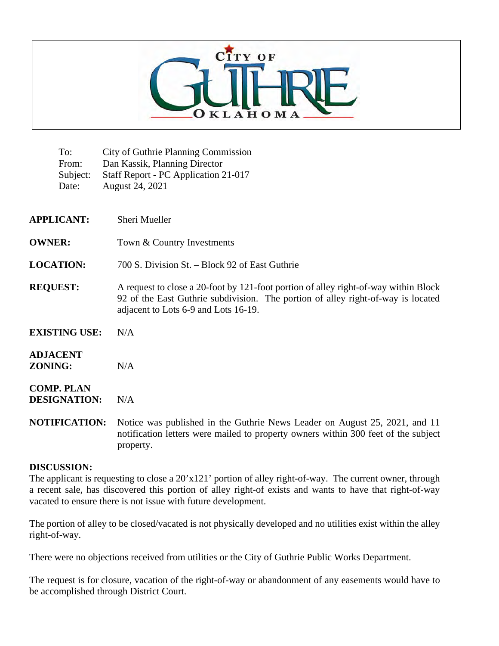

To: City of Guthrie Planning Commission From: Dan Kassik, Planning Director Subject: Staff Report - PC Application 21-017 Date: August 24, 2021

| <b>APPLICANT:</b>                        | Sheri Mueller                                                                                                                                                                                                   |
|------------------------------------------|-----------------------------------------------------------------------------------------------------------------------------------------------------------------------------------------------------------------|
| <b>OWNER:</b>                            | Town & Country Investments                                                                                                                                                                                      |
| <b>LOCATION:</b>                         | 700 S. Division St. – Block 92 of East Guthrie                                                                                                                                                                  |
| <b>REQUEST:</b>                          | A request to close a 20-foot by 121-foot portion of alley right-of-way within Block<br>92 of the East Guthrie subdivision. The portion of alley right-of-way is located<br>adjacent to Lots 6-9 and Lots 16-19. |
| <b>EXISTING USE:</b>                     | N/A                                                                                                                                                                                                             |
| <b>ADJACENT</b><br><b>ZONING:</b>        | N/A                                                                                                                                                                                                             |
| <b>COMP. PLAN</b><br><b>DESIGNATION:</b> | N/A                                                                                                                                                                                                             |
| <b>NOTIFICATION:</b>                     | Notice was published in the Guthrie News Leader on August 25, 2021, and 11                                                                                                                                      |

notification letters were mailed to property owners within 300 feet of the subject property.

#### **DISCUSSION:**

The applicant is requesting to close a 20'x121' portion of alley right-of-way. The current owner, through a recent sale, has discovered this portion of alley right-of exists and wants to have that right-of-way vacated to ensure there is not issue with future development.

The portion of alley to be closed/vacated is not physically developed and no utilities exist within the alley right-of-way.

There were no objections received from utilities or the City of Guthrie Public Works Department.

The request is for closure, vacation of the right-of-way or abandonment of any easements would have to be accomplished through District Court.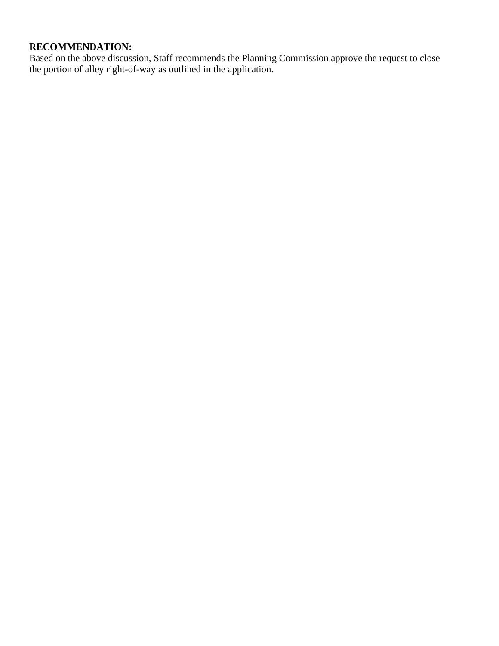# **RECOMMENDATION:**

Based on the above discussion, Staff recommends the Planning Commission approve the request to close the portion of alley right-of-way as outlined in the application.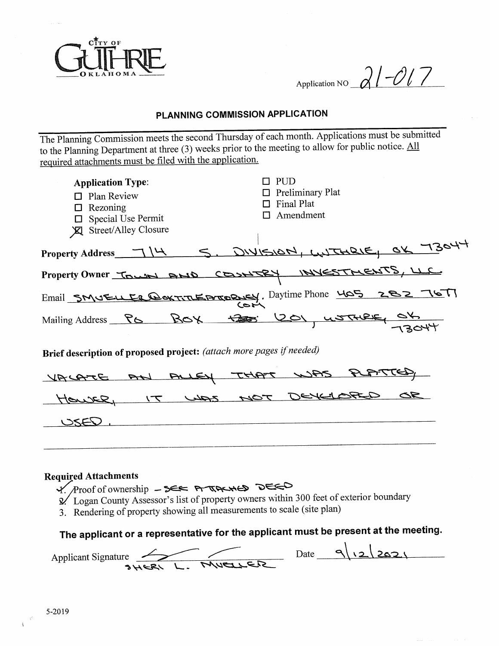

Application NO  $21-017$ 

# PLANNING COMMISSION APPLICATION

The Planning Commission meets the second Thursday of each month. Applications must be submitted to the Planning Department at three (3) weeks prior to the meeting to allow for public notice.  $\underline{\text{All}}$ required attachments must be filed with the application.

| <b>Application Type:</b><br>$\Box$ Plan Review<br>$\Box$ Rezoning<br>$\Box$ Special Use Permit<br><b>X</b> Street/Alley Closure | $\square$ PUD<br>$\Box$ Preliminary Plat<br>$\Box$ Final Plat<br>Amendment |  |  |  |
|---------------------------------------------------------------------------------------------------------------------------------|----------------------------------------------------------------------------|--|--|--|
|                                                                                                                                 | Property Address 714 S. DIVISION, WITHRIE, OX 7304                         |  |  |  |
|                                                                                                                                 | Property Owner TOWN AND COSNICRY INVESTMENTS, LLC                          |  |  |  |
|                                                                                                                                 | Email SMUELLE CONTITEPTORNEY, Daytime Phone 405 282 767<br>زصتنر           |  |  |  |
|                                                                                                                                 | Mailing Address PG BOX 1201, USTURE, OK                                    |  |  |  |
| Brief description of proposed project: (attach more pages if needed)                                                            |                                                                            |  |  |  |
| VACATE AN                                                                                                                       | ALLY THAT WAS                                                              |  |  |  |
|                                                                                                                                 | toute, IT was NOT DEVELOPED                                                |  |  |  |
|                                                                                                                                 |                                                                            |  |  |  |
|                                                                                                                                 |                                                                            |  |  |  |

#### **Required Attachments**

Y. Proof of ownership -SEE ATACHED DEED

- 2/ Logan County Assessor's list of property owners within 300 feet of exterior boundary
- 3. Rendering of property showing all measurements to scale (site plan)

# The applicant or a representative for the applicant must be present at the meeting.

Applicant Signature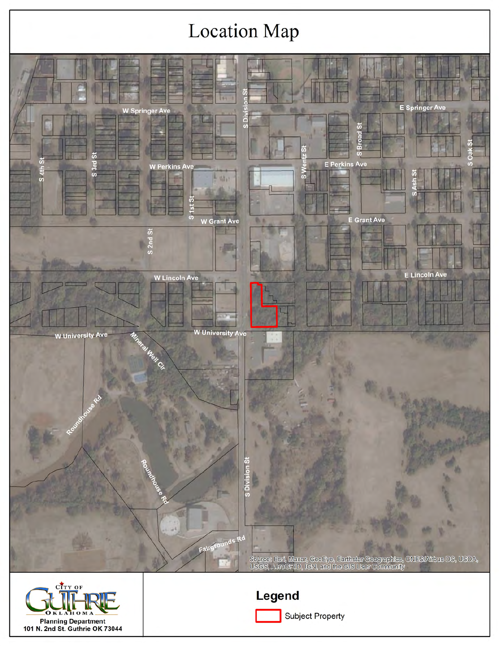# **Location Map**



Planning Department<br>101 N. 2nd St. Guthrie OK 73044

**Subject Property**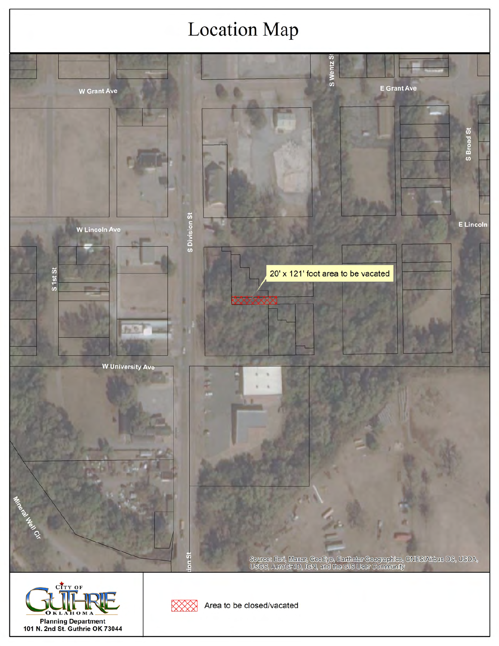# **Location Map**







Area to be closed/vacated